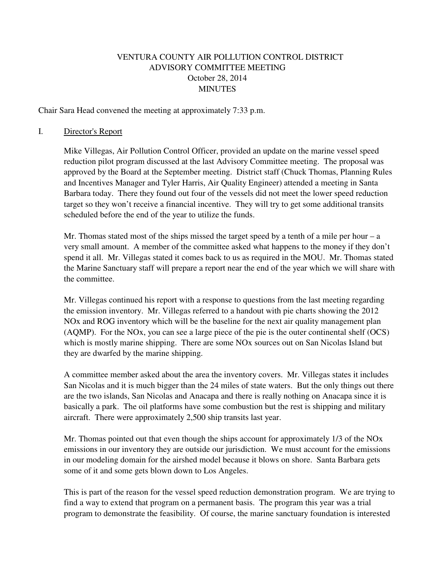# VENTURA COUNTY AIR POLLUTION CONTROL DISTRICT ADVISORY COMMITTEE MEETING October 28, 2014 MINUTES

Chair Sara Head convened the meeting at approximately 7:33 p.m.

## I. Director's Report

Mike Villegas, Air Pollution Control Officer, provided an update on the marine vessel speed reduction pilot program discussed at the last Advisory Committee meeting. The proposal was approved by the Board at the September meeting. District staff (Chuck Thomas, Planning Rules and Incentives Manager and Tyler Harris, Air Quality Engineer) attended a meeting in Santa Barbara today. There they found out four of the vessels did not meet the lower speed reduction target so they won't receive a financial incentive. They will try to get some additional transits scheduled before the end of the year to utilize the funds.

Mr. Thomas stated most of the ships missed the target speed by a tenth of a mile per hour – a very small amount. A member of the committee asked what happens to the money if they don't spend it all. Mr. Villegas stated it comes back to us as required in the MOU. Mr. Thomas stated the Marine Sanctuary staff will prepare a report near the end of the year which we will share with the committee.

Mr. Villegas continued his report with a response to questions from the last meeting regarding the emission inventory. Mr. Villegas referred to a handout with pie charts showing the 2012 NOx and ROG inventory which will be the baseline for the next air quality management plan (AQMP). For the NOx, you can see a large piece of the pie is the outer continental shelf (OCS) which is mostly marine shipping. There are some NO<sub>x</sub> sources out on San Nicolas Island but they are dwarfed by the marine shipping.

A committee member asked about the area the inventory covers. Mr. Villegas states it includes San Nicolas and it is much bigger than the 24 miles of state waters. But the only things out there are the two islands, San Nicolas and Anacapa and there is really nothing on Anacapa since it is basically a park. The oil platforms have some combustion but the rest is shipping and military aircraft. There were approximately 2,500 ship transits last year.

Mr. Thomas pointed out that even though the ships account for approximately 1/3 of the NOx emissions in our inventory they are outside our jurisdiction. We must account for the emissions in our modeling domain for the airshed model because it blows on shore. Santa Barbara gets some of it and some gets blown down to Los Angeles.

This is part of the reason for the vessel speed reduction demonstration program. We are trying to find a way to extend that program on a permanent basis. The program this year was a trial program to demonstrate the feasibility. Of course, the marine sanctuary foundation is interested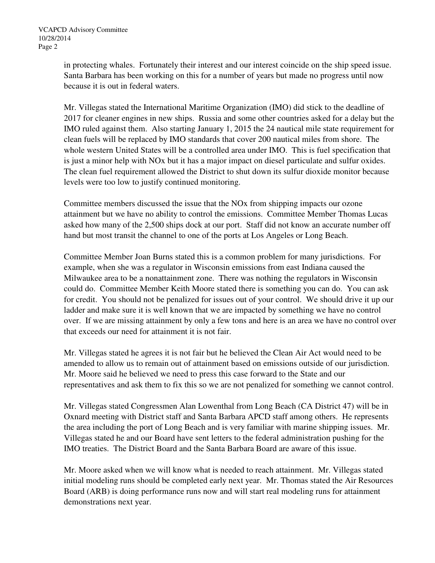in protecting whales. Fortunately their interest and our interest coincide on the ship speed issue. Santa Barbara has been working on this for a number of years but made no progress until now because it is out in federal waters.

Mr. Villegas stated the International Maritime Organization (IMO) did stick to the deadline of 2017 for cleaner engines in new ships. Russia and some other countries asked for a delay but the IMO ruled against them. Also starting January 1, 2015 the 24 nautical mile state requirement for clean fuels will be replaced by IMO standards that cover 200 nautical miles from shore. The whole western United States will be a controlled area under IMO. This is fuel specification that is just a minor help with NOx but it has a major impact on diesel particulate and sulfur oxides. The clean fuel requirement allowed the District to shut down its sulfur dioxide monitor because levels were too low to justify continued monitoring.

Committee members discussed the issue that the NOx from shipping impacts our ozone attainment but we have no ability to control the emissions. Committee Member Thomas Lucas asked how many of the 2,500 ships dock at our port. Staff did not know an accurate number off hand but most transit the channel to one of the ports at Los Angeles or Long Beach.

Committee Member Joan Burns stated this is a common problem for many jurisdictions. For example, when she was a regulator in Wisconsin emissions from east Indiana caused the Milwaukee area to be a nonattainment zone. There was nothing the regulators in Wisconsin could do. Committee Member Keith Moore stated there is something you can do. You can ask for credit. You should not be penalized for issues out of your control. We should drive it up our ladder and make sure it is well known that we are impacted by something we have no control over. If we are missing attainment by only a few tons and here is an area we have no control over that exceeds our need for attainment it is not fair.

Mr. Villegas stated he agrees it is not fair but he believed the Clean Air Act would need to be amended to allow us to remain out of attainment based on emissions outside of our jurisdiction. Mr. Moore said he believed we need to press this case forward to the State and our representatives and ask them to fix this so we are not penalized for something we cannot control.

Mr. Villegas stated Congressmen Alan Lowenthal from Long Beach (CA District 47) will be in Oxnard meeting with District staff and Santa Barbara APCD staff among others. He represents the area including the port of Long Beach and is very familiar with marine shipping issues. Mr. Villegas stated he and our Board have sent letters to the federal administration pushing for the IMO treaties. The District Board and the Santa Barbara Board are aware of this issue.

Mr. Moore asked when we will know what is needed to reach attainment. Mr. Villegas stated initial modeling runs should be completed early next year. Mr. Thomas stated the Air Resources Board (ARB) is doing performance runs now and will start real modeling runs for attainment demonstrations next year.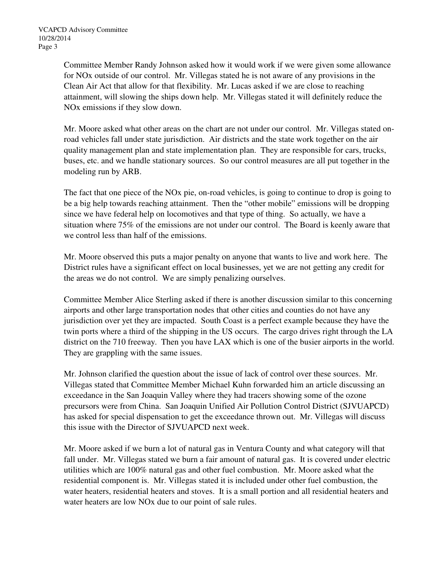Committee Member Randy Johnson asked how it would work if we were given some allowance for NOx outside of our control. Mr. Villegas stated he is not aware of any provisions in the Clean Air Act that allow for that flexibility. Mr. Lucas asked if we are close to reaching attainment, will slowing the ships down help. Mr. Villegas stated it will definitely reduce the NOx emissions if they slow down.

Mr. Moore asked what other areas on the chart are not under our control. Mr. Villegas stated onroad vehicles fall under state jurisdiction. Air districts and the state work together on the air quality management plan and state implementation plan. They are responsible for cars, trucks, buses, etc. and we handle stationary sources. So our control measures are all put together in the modeling run by ARB.

The fact that one piece of the NOx pie, on-road vehicles, is going to continue to drop is going to be a big help towards reaching attainment. Then the "other mobile" emissions will be dropping since we have federal help on locomotives and that type of thing. So actually, we have a situation where 75% of the emissions are not under our control. The Board is keenly aware that we control less than half of the emissions.

Mr. Moore observed this puts a major penalty on anyone that wants to live and work here. The District rules have a significant effect on local businesses, yet we are not getting any credit for the areas we do not control. We are simply penalizing ourselves.

Committee Member Alice Sterling asked if there is another discussion similar to this concerning airports and other large transportation nodes that other cities and counties do not have any jurisdiction over yet they are impacted. South Coast is a perfect example because they have the twin ports where a third of the shipping in the US occurs. The cargo drives right through the LA district on the 710 freeway. Then you have LAX which is one of the busier airports in the world. They are grappling with the same issues.

Mr. Johnson clarified the question about the issue of lack of control over these sources. Mr. Villegas stated that Committee Member Michael Kuhn forwarded him an article discussing an exceedance in the San Joaquin Valley where they had tracers showing some of the ozone precursors were from China. San Joaquin Unified Air Pollution Control District (SJVUAPCD) has asked for special dispensation to get the exceedance thrown out. Mr. Villegas will discuss this issue with the Director of SJVUAPCD next week.

Mr. Moore asked if we burn a lot of natural gas in Ventura County and what category will that fall under. Mr. Villegas stated we burn a fair amount of natural gas. It is covered under electric utilities which are 100% natural gas and other fuel combustion. Mr. Moore asked what the residential component is. Mr. Villegas stated it is included under other fuel combustion, the water heaters, residential heaters and stoves. It is a small portion and all residential heaters and water heaters are low NOx due to our point of sale rules.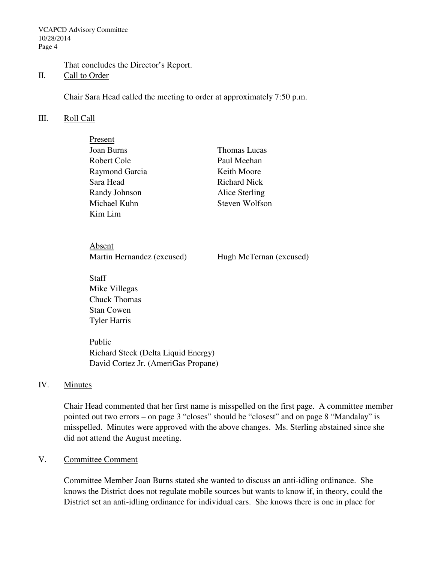VCAPCD Advisory Committee 10/28/2014 Page 4

That concludes the Director's Report.

## II. Call to Order

Chair Sara Head called the meeting to order at approximately 7:50 p.m.

## III. Roll Call

| Present        |                     |
|----------------|---------------------|
| Joan Burns     | <b>Thomas Lucas</b> |
| Robert Cole    | Paul Meehan         |
| Raymond Garcia | Keith Moore         |
| Sara Head      | <b>Richard Nick</b> |
| Randy Johnson  | Alice Sterling      |
| Michael Kuhn   | Steven Wolfson      |
| Kim Lim        |                     |

 Absent Martin Hernandez (excused) Hugh McTernan (excused)

Staff Mike Villegas Chuck Thomas Stan Cowen Tyler Harris

Public Richard Steck (Delta Liquid Energy) David Cortez Jr. (AmeriGas Propane)

## IV. Minutes

Chair Head commented that her first name is misspelled on the first page. A committee member pointed out two errors – on page 3 "closes" should be "closest" and on page 8 "Mandalay" is misspelled. Minutes were approved with the above changes. Ms. Sterling abstained since she did not attend the August meeting.

## V. Committee Comment

Committee Member Joan Burns stated she wanted to discuss an anti-idling ordinance. She knows the District does not regulate mobile sources but wants to know if, in theory, could the District set an anti-idling ordinance for individual cars. She knows there is one in place for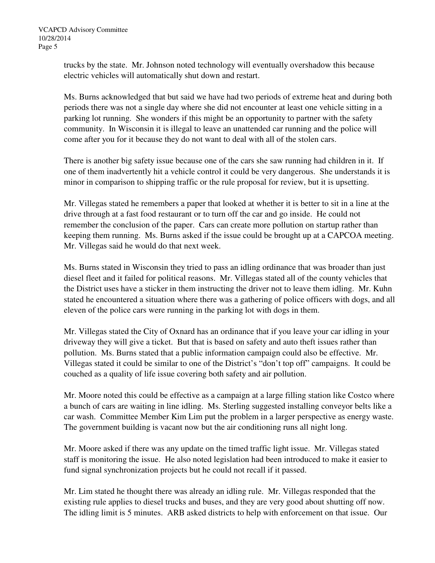trucks by the state. Mr. Johnson noted technology will eventually overshadow this because electric vehicles will automatically shut down and restart.

Ms. Burns acknowledged that but said we have had two periods of extreme heat and during both periods there was not a single day where she did not encounter at least one vehicle sitting in a parking lot running. She wonders if this might be an opportunity to partner with the safety community. In Wisconsin it is illegal to leave an unattended car running and the police will come after you for it because they do not want to deal with all of the stolen cars.

There is another big safety issue because one of the cars she saw running had children in it. If one of them inadvertently hit a vehicle control it could be very dangerous. She understands it is minor in comparison to shipping traffic or the rule proposal for review, but it is upsetting.

Mr. Villegas stated he remembers a paper that looked at whether it is better to sit in a line at the drive through at a fast food restaurant or to turn off the car and go inside. He could not remember the conclusion of the paper. Cars can create more pollution on startup rather than keeping them running. Ms. Burns asked if the issue could be brought up at a CAPCOA meeting. Mr. Villegas said he would do that next week.

Ms. Burns stated in Wisconsin they tried to pass an idling ordinance that was broader than just diesel fleet and it failed for political reasons. Mr. Villegas stated all of the county vehicles that the District uses have a sticker in them instructing the driver not to leave them idling. Mr. Kuhn stated he encountered a situation where there was a gathering of police officers with dogs, and all eleven of the police cars were running in the parking lot with dogs in them.

Mr. Villegas stated the City of Oxnard has an ordinance that if you leave your car idling in your driveway they will give a ticket. But that is based on safety and auto theft issues rather than pollution. Ms. Burns stated that a public information campaign could also be effective. Mr. Villegas stated it could be similar to one of the District's "don't top off" campaigns. It could be couched as a quality of life issue covering both safety and air pollution.

Mr. Moore noted this could be effective as a campaign at a large filling station like Costco where a bunch of cars are waiting in line idling. Ms. Sterling suggested installing conveyor belts like a car wash. Committee Member Kim Lim put the problem in a larger perspective as energy waste. The government building is vacant now but the air conditioning runs all night long.

Mr. Moore asked if there was any update on the timed traffic light issue. Mr. Villegas stated staff is monitoring the issue. He also noted legislation had been introduced to make it easier to fund signal synchronization projects but he could not recall if it passed.

Mr. Lim stated he thought there was already an idling rule. Mr. Villegas responded that the existing rule applies to diesel trucks and buses, and they are very good about shutting off now. The idling limit is 5 minutes. ARB asked districts to help with enforcement on that issue. Our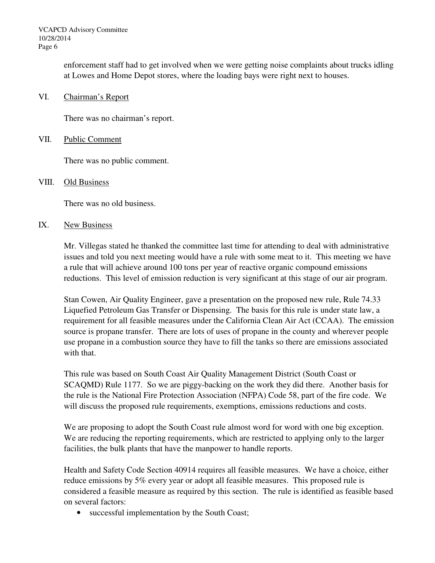enforcement staff had to get involved when we were getting noise complaints about trucks idling at Lowes and Home Depot stores, where the loading bays were right next to houses.

VI. Chairman's Report

There was no chairman's report.

## VII. Public Comment

There was no public comment.

## VIII. Old Business

There was no old business.

## IX. New Business

Mr. Villegas stated he thanked the committee last time for attending to deal with administrative issues and told you next meeting would have a rule with some meat to it. This meeting we have a rule that will achieve around 100 tons per year of reactive organic compound emissions reductions. This level of emission reduction is very significant at this stage of our air program.

Stan Cowen, Air Quality Engineer, gave a presentation on the proposed new rule, Rule 74.33 Liquefied Petroleum Gas Transfer or Dispensing. The basis for this rule is under state law, a requirement for all feasible measures under the California Clean Air Act (CCAA). The emission source is propane transfer. There are lots of uses of propane in the county and wherever people use propane in a combustion source they have to fill the tanks so there are emissions associated with that.

This rule was based on South Coast Air Quality Management District (South Coast or SCAQMD) Rule 1177. So we are piggy-backing on the work they did there. Another basis for the rule is the National Fire Protection Association (NFPA) Code 58, part of the fire code. We will discuss the proposed rule requirements, exemptions, emissions reductions and costs.

We are proposing to adopt the South Coast rule almost word for word with one big exception. We are reducing the reporting requirements, which are restricted to applying only to the larger facilities, the bulk plants that have the manpower to handle reports.

Health and Safety Code Section 40914 requires all feasible measures. We have a choice, either reduce emissions by 5% every year or adopt all feasible measures. This proposed rule is considered a feasible measure as required by this section. The rule is identified as feasible based on several factors:

• successful implementation by the South Coast;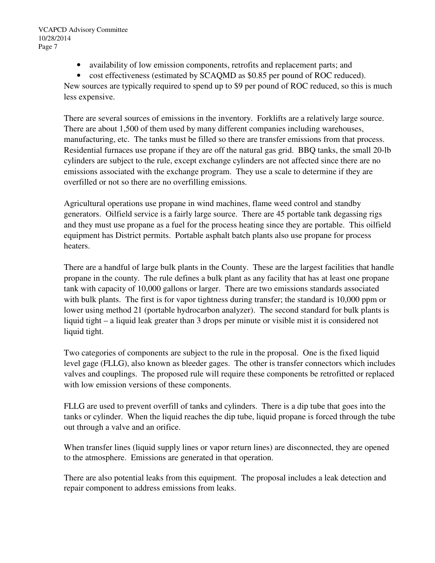- availability of low emission components, retrofits and replacement parts; and
- cost effectiveness (estimated by SCAQMD as \$0.85 per pound of ROC reduced).

New sources are typically required to spend up to \$9 per pound of ROC reduced, so this is much less expensive.

There are several sources of emissions in the inventory. Forklifts are a relatively large source. There are about 1,500 of them used by many different companies including warehouses, manufacturing, etc. The tanks must be filled so there are transfer emissions from that process. Residential furnaces use propane if they are off the natural gas grid. BBQ tanks, the small 20-lb cylinders are subject to the rule, except exchange cylinders are not affected since there are no emissions associated with the exchange program. They use a scale to determine if they are overfilled or not so there are no overfilling emissions.

Agricultural operations use propane in wind machines, flame weed control and standby generators. Oilfield service is a fairly large source. There are 45 portable tank degassing rigs and they must use propane as a fuel for the process heating since they are portable. This oilfield equipment has District permits. Portable asphalt batch plants also use propane for process heaters.

There are a handful of large bulk plants in the County. These are the largest facilities that handle propane in the county. The rule defines a bulk plant as any facility that has at least one propane tank with capacity of 10,000 gallons or larger. There are two emissions standards associated with bulk plants. The first is for vapor tightness during transfer; the standard is 10,000 ppm or lower using method 21 (portable hydrocarbon analyzer). The second standard for bulk plants is liquid tight – a liquid leak greater than 3 drops per minute or visible mist it is considered not liquid tight.

Two categories of components are subject to the rule in the proposal. One is the fixed liquid level gage (FLLG), also known as bleeder gages. The other is transfer connectors which includes valves and couplings. The proposed rule will require these components be retrofitted or replaced with low emission versions of these components.

FLLG are used to prevent overfill of tanks and cylinders. There is a dip tube that goes into the tanks or cylinder. When the liquid reaches the dip tube, liquid propane is forced through the tube out through a valve and an orifice.

When transfer lines (liquid supply lines or vapor return lines) are disconnected, they are opened to the atmosphere. Emissions are generated in that operation.

There are also potential leaks from this equipment. The proposal includes a leak detection and repair component to address emissions from leaks.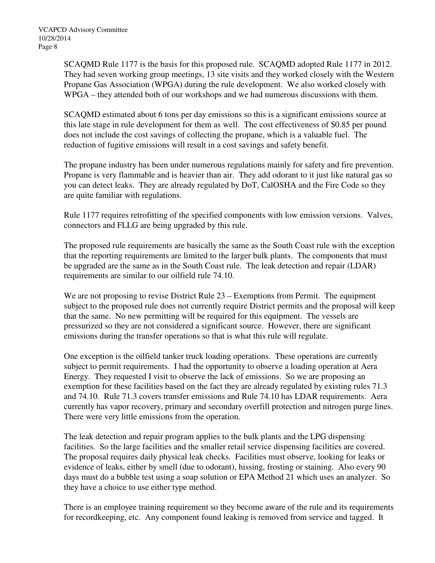SCAQMD Rule 1177 is the basis for this proposed rule. SCAQMD adopted Rule 1177 in 2012. They had seven working group meetings, 13 site visits and they worked closely with the Western Propane Gas Association (WPGA) during the rule development. We also worked closely with WPGA – they attended both of our workshops and we had numerous discussions with them.

SCAQMD estimated about 6 tons per day emissions so this is a significant emissions source at this late stage in rule development for them as well. The cost effectiveness of \$0.85 per pound does not include the cost savings of collecting the propane, which is a valuable fuel. The reduction of fugitive emissions will result in a cost savings and safety benefit.

The propane industry has been under numerous regulations mainly for safety and fire prevention. Propane is very flammable and is heavier than air. They add odorant to it just like natural gas so you can detect leaks. They are already regulated by DoT, CalOSHA and the Fire Code so they are quite familiar with regulations.

Rule 1177 requires retrofitting of the specified components with low emission versions. Valves, connectors and FLLG are being upgraded by this rule.

The proposed rule requirements are basically the same as the South Coast rule with the exception that the reporting requirements are limited to the larger bulk plants. The components that must be upgraded are the same as in the South Coast rule. The leak detection and repair (LDAR) requirements are similar to our oilfield rule 74.10.

We are not proposing to revise District Rule 23 – Exemptions from Permit. The equipment subject to the proposed rule does not currently require District permits and the proposal will keep that the same. No new permitting will be required for this equipment. The vessels are pressurized so they are not considered a significant source. However, there are significant emissions during the transfer operations so that is what this rule will regulate.

One exception is the oilfield tanker truck loading operations. These operations are currently subject to permit requirements. I had the opportunity to observe a loading operation at Aera Energy. They requested I visit to observe the lack of emissions. So we are proposing an exemption for these facilities based on the fact they are already regulated by existing rules 71.3 and 74.10. Rule 71.3 covers transfer emissions and Rule 74.10 has LDAR requirements. Aera currently has vapor recovery, primary and secondary overfill protection and nitrogen purge lines. There were very little emissions from the operation.

The leak detection and repair program applies to the bulk plants and the LPG dispensing facilities. So the large facilities and the smaller retail service dispensing facilities are covered. The proposal requires daily physical leak checks. Facilities must observe, looking for leaks or evidence of leaks, either by smell (due to odorant), hissing, frosting or staining. Also every 90 days must do a bubble test using a soap solution or EPA Method 21 which uses an analyzer. So they have a choice to use either type method.

There is an employee training requirement so they become aware of the rule and its requirements for recordkeeping, etc. Any component found leaking is removed from service and tagged. It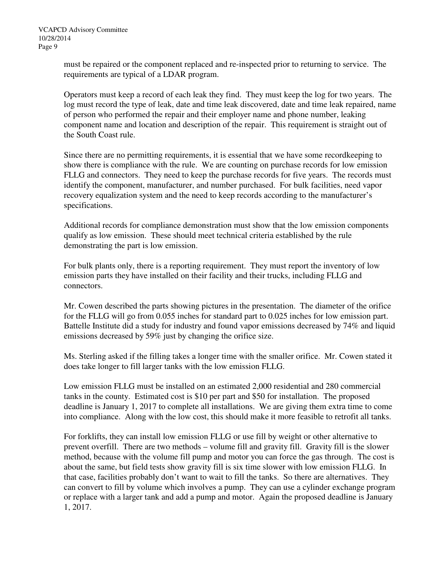must be repaired or the component replaced and re-inspected prior to returning to service. The requirements are typical of a LDAR program.

Operators must keep a record of each leak they find. They must keep the log for two years. The log must record the type of leak, date and time leak discovered, date and time leak repaired, name of person who performed the repair and their employer name and phone number, leaking component name and location and description of the repair. This requirement is straight out of the South Coast rule.

Since there are no permitting requirements, it is essential that we have some recordkeeping to show there is compliance with the rule. We are counting on purchase records for low emission FLLG and connectors. They need to keep the purchase records for five years. The records must identify the component, manufacturer, and number purchased. For bulk facilities, need vapor recovery equalization system and the need to keep records according to the manufacturer's specifications.

Additional records for compliance demonstration must show that the low emission components qualify as low emission. These should meet technical criteria established by the rule demonstrating the part is low emission.

For bulk plants only, there is a reporting requirement. They must report the inventory of low emission parts they have installed on their facility and their trucks, including FLLG and connectors.

Mr. Cowen described the parts showing pictures in the presentation. The diameter of the orifice for the FLLG will go from 0.055 inches for standard part to 0.025 inches for low emission part. Battelle Institute did a study for industry and found vapor emissions decreased by 74% and liquid emissions decreased by 59% just by changing the orifice size.

Ms. Sterling asked if the filling takes a longer time with the smaller orifice. Mr. Cowen stated it does take longer to fill larger tanks with the low emission FLLG.

Low emission FLLG must be installed on an estimated 2,000 residential and 280 commercial tanks in the county. Estimated cost is \$10 per part and \$50 for installation. The proposed deadline is January 1, 2017 to complete all installations. We are giving them extra time to come into compliance. Along with the low cost, this should make it more feasible to retrofit all tanks.

For forklifts, they can install low emission FLLG or use fill by weight or other alternative to prevent overfill. There are two methods – volume fill and gravity fill. Gravity fill is the slower method, because with the volume fill pump and motor you can force the gas through. The cost is about the same, but field tests show gravity fill is six time slower with low emission FLLG. In that case, facilities probably don't want to wait to fill the tanks. So there are alternatives. They can convert to fill by volume which involves a pump. They can use a cylinder exchange program or replace with a larger tank and add a pump and motor. Again the proposed deadline is January 1, 2017.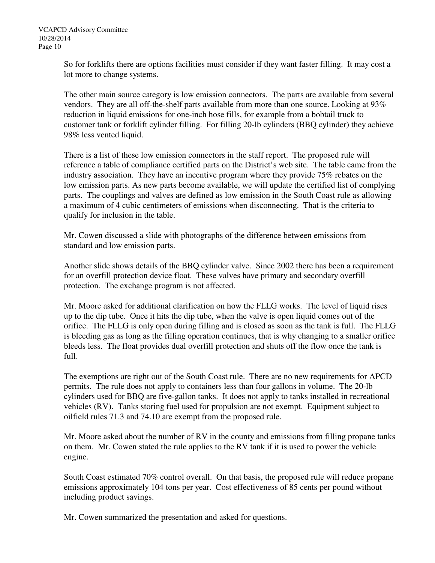So for forklifts there are options facilities must consider if they want faster filling. It may cost a lot more to change systems.

The other main source category is low emission connectors. The parts are available from several vendors. They are all off-the-shelf parts available from more than one source. Looking at 93% reduction in liquid emissions for one-inch hose fills, for example from a bobtail truck to customer tank or forklift cylinder filling. For filling 20-lb cylinders (BBQ cylinder) they achieve 98% less vented liquid.

There is a list of these low emission connectors in the staff report. The proposed rule will reference a table of compliance certified parts on the District's web site. The table came from the industry association. They have an incentive program where they provide 75% rebates on the low emission parts. As new parts become available, we will update the certified list of complying parts. The couplings and valves are defined as low emission in the South Coast rule as allowing a maximum of 4 cubic centimeters of emissions when disconnecting. That is the criteria to qualify for inclusion in the table.

Mr. Cowen discussed a slide with photographs of the difference between emissions from standard and low emission parts.

Another slide shows details of the BBQ cylinder valve. Since 2002 there has been a requirement for an overfill protection device float. These valves have primary and secondary overfill protection. The exchange program is not affected.

Mr. Moore asked for additional clarification on how the FLLG works. The level of liquid rises up to the dip tube. Once it hits the dip tube, when the valve is open liquid comes out of the orifice. The FLLG is only open during filling and is closed as soon as the tank is full. The FLLG is bleeding gas as long as the filling operation continues, that is why changing to a smaller orifice bleeds less. The float provides dual overfill protection and shuts off the flow once the tank is full.

The exemptions are right out of the South Coast rule. There are no new requirements for APCD permits. The rule does not apply to containers less than four gallons in volume. The 20-lb cylinders used for BBQ are five-gallon tanks. It does not apply to tanks installed in recreational vehicles (RV). Tanks storing fuel used for propulsion are not exempt. Equipment subject to oilfield rules 71.3 and 74.10 are exempt from the proposed rule.

Mr. Moore asked about the number of RV in the county and emissions from filling propane tanks on them. Mr. Cowen stated the rule applies to the RV tank if it is used to power the vehicle engine.

South Coast estimated 70% control overall. On that basis, the proposed rule will reduce propane emissions approximately 104 tons per year. Cost effectiveness of 85 cents per pound without including product savings.

Mr. Cowen summarized the presentation and asked for questions.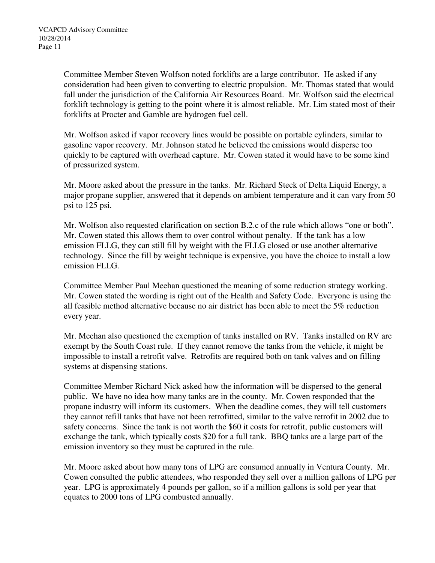Committee Member Steven Wolfson noted forklifts are a large contributor. He asked if any consideration had been given to converting to electric propulsion. Mr. Thomas stated that would fall under the jurisdiction of the California Air Resources Board. Mr. Wolfson said the electrical forklift technology is getting to the point where it is almost reliable. Mr. Lim stated most of their forklifts at Procter and Gamble are hydrogen fuel cell.

Mr. Wolfson asked if vapor recovery lines would be possible on portable cylinders, similar to gasoline vapor recovery. Mr. Johnson stated he believed the emissions would disperse too quickly to be captured with overhead capture. Mr. Cowen stated it would have to be some kind of pressurized system.

Mr. Moore asked about the pressure in the tanks. Mr. Richard Steck of Delta Liquid Energy, a major propane supplier, answered that it depends on ambient temperature and it can vary from 50 psi to 125 psi.

Mr. Wolfson also requested clarification on section B.2.c of the rule which allows "one or both". Mr. Cowen stated this allows them to over control without penalty. If the tank has a low emission FLLG, they can still fill by weight with the FLLG closed or use another alternative technology. Since the fill by weight technique is expensive, you have the choice to install a low emission FLLG.

Committee Member Paul Meehan questioned the meaning of some reduction strategy working. Mr. Cowen stated the wording is right out of the Health and Safety Code. Everyone is using the all feasible method alternative because no air district has been able to meet the 5% reduction every year.

Mr. Meehan also questioned the exemption of tanks installed on RV. Tanks installed on RV are exempt by the South Coast rule. If they cannot remove the tanks from the vehicle, it might be impossible to install a retrofit valve. Retrofits are required both on tank valves and on filling systems at dispensing stations.

Committee Member Richard Nick asked how the information will be dispersed to the general public. We have no idea how many tanks are in the county. Mr. Cowen responded that the propane industry will inform its customers. When the deadline comes, they will tell customers they cannot refill tanks that have not been retrofitted, similar to the valve retrofit in 2002 due to safety concerns. Since the tank is not worth the \$60 it costs for retrofit, public customers will exchange the tank, which typically costs \$20 for a full tank. BBQ tanks are a large part of the emission inventory so they must be captured in the rule.

Mr. Moore asked about how many tons of LPG are consumed annually in Ventura County. Mr. Cowen consulted the public attendees, who responded they sell over a million gallons of LPG per year. LPG is approximately 4 pounds per gallon, so if a million gallons is sold per year that equates to 2000 tons of LPG combusted annually.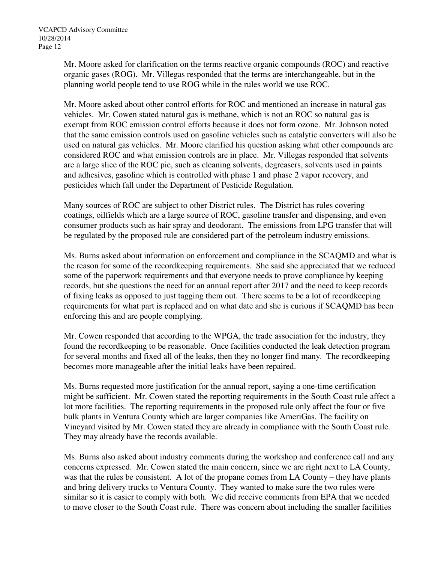Mr. Moore asked for clarification on the terms reactive organic compounds (ROC) and reactive organic gases (ROG). Mr. Villegas responded that the terms are interchangeable, but in the planning world people tend to use ROG while in the rules world we use ROC.

Mr. Moore asked about other control efforts for ROC and mentioned an increase in natural gas vehicles. Mr. Cowen stated natural gas is methane, which is not an ROC so natural gas is exempt from ROC emission control efforts because it does not form ozone. Mr. Johnson noted that the same emission controls used on gasoline vehicles such as catalytic converters will also be used on natural gas vehicles. Mr. Moore clarified his question asking what other compounds are considered ROC and what emission controls are in place. Mr. Villegas responded that solvents are a large slice of the ROC pie, such as cleaning solvents, degreasers, solvents used in paints and adhesives, gasoline which is controlled with phase 1 and phase 2 vapor recovery, and pesticides which fall under the Department of Pesticide Regulation.

Many sources of ROC are subject to other District rules. The District has rules covering coatings, oilfields which are a large source of ROC, gasoline transfer and dispensing, and even consumer products such as hair spray and deodorant. The emissions from LPG transfer that will be regulated by the proposed rule are considered part of the petroleum industry emissions.

Ms. Burns asked about information on enforcement and compliance in the SCAQMD and what is the reason for some of the recordkeeping requirements. She said she appreciated that we reduced some of the paperwork requirements and that everyone needs to prove compliance by keeping records, but she questions the need for an annual report after 2017 and the need to keep records of fixing leaks as opposed to just tagging them out. There seems to be a lot of recordkeeping requirements for what part is replaced and on what date and she is curious if SCAQMD has been enforcing this and are people complying.

Mr. Cowen responded that according to the WPGA, the trade association for the industry, they found the recordkeeping to be reasonable. Once facilities conducted the leak detection program for several months and fixed all of the leaks, then they no longer find many. The recordkeeping becomes more manageable after the initial leaks have been repaired.

Ms. Burns requested more justification for the annual report, saying a one-time certification might be sufficient. Mr. Cowen stated the reporting requirements in the South Coast rule affect a lot more facilities. The reporting requirements in the proposed rule only affect the four or five bulk plants in Ventura County which are larger companies like AmeriGas. The facility on Vineyard visited by Mr. Cowen stated they are already in compliance with the South Coast rule. They may already have the records available.

Ms. Burns also asked about industry comments during the workshop and conference call and any concerns expressed. Mr. Cowen stated the main concern, since we are right next to LA County, was that the rules be consistent. A lot of the propane comes from LA County – they have plants and bring delivery trucks to Ventura County. They wanted to make sure the two rules were similar so it is easier to comply with both. We did receive comments from EPA that we needed to move closer to the South Coast rule. There was concern about including the smaller facilities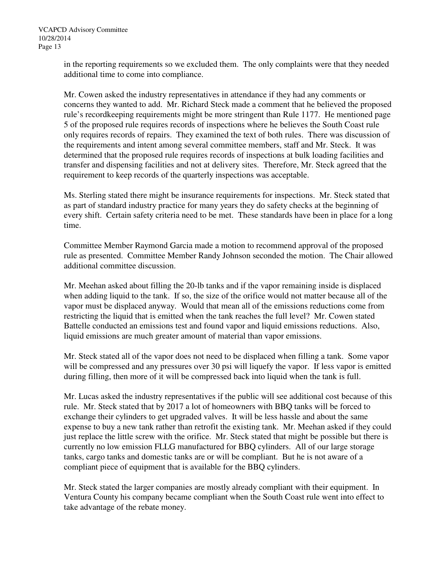in the reporting requirements so we excluded them. The only complaints were that they needed additional time to come into compliance.

Mr. Cowen asked the industry representatives in attendance if they had any comments or concerns they wanted to add. Mr. Richard Steck made a comment that he believed the proposed rule's recordkeeping requirements might be more stringent than Rule 1177. He mentioned page 5 of the proposed rule requires records of inspections where he believes the South Coast rule only requires records of repairs. They examined the text of both rules. There was discussion of the requirements and intent among several committee members, staff and Mr. Steck. It was determined that the proposed rule requires records of inspections at bulk loading facilities and transfer and dispensing facilities and not at delivery sites. Therefore, Mr. Steck agreed that the requirement to keep records of the quarterly inspections was acceptable.

Ms. Sterling stated there might be insurance requirements for inspections. Mr. Steck stated that as part of standard industry practice for many years they do safety checks at the beginning of every shift. Certain safety criteria need to be met. These standards have been in place for a long time.

Committee Member Raymond Garcia made a motion to recommend approval of the proposed rule as presented. Committee Member Randy Johnson seconded the motion. The Chair allowed additional committee discussion.

Mr. Meehan asked about filling the 20-lb tanks and if the vapor remaining inside is displaced when adding liquid to the tank. If so, the size of the orifice would not matter because all of the vapor must be displaced anyway. Would that mean all of the emissions reductions come from restricting the liquid that is emitted when the tank reaches the full level? Mr. Cowen stated Battelle conducted an emissions test and found vapor and liquid emissions reductions. Also, liquid emissions are much greater amount of material than vapor emissions.

Mr. Steck stated all of the vapor does not need to be displaced when filling a tank. Some vapor will be compressed and any pressures over 30 psi will liquefy the vapor. If less vapor is emitted during filling, then more of it will be compressed back into liquid when the tank is full.

Mr. Lucas asked the industry representatives if the public will see additional cost because of this rule. Mr. Steck stated that by 2017 a lot of homeowners with BBQ tanks will be forced to exchange their cylinders to get upgraded valves. It will be less hassle and about the same expense to buy a new tank rather than retrofit the existing tank. Mr. Meehan asked if they could just replace the little screw with the orifice. Mr. Steck stated that might be possible but there is currently no low emission FLLG manufactured for BBQ cylinders. All of our large storage tanks, cargo tanks and domestic tanks are or will be compliant. But he is not aware of a compliant piece of equipment that is available for the BBQ cylinders.

Mr. Steck stated the larger companies are mostly already compliant with their equipment. In Ventura County his company became compliant when the South Coast rule went into effect to take advantage of the rebate money.